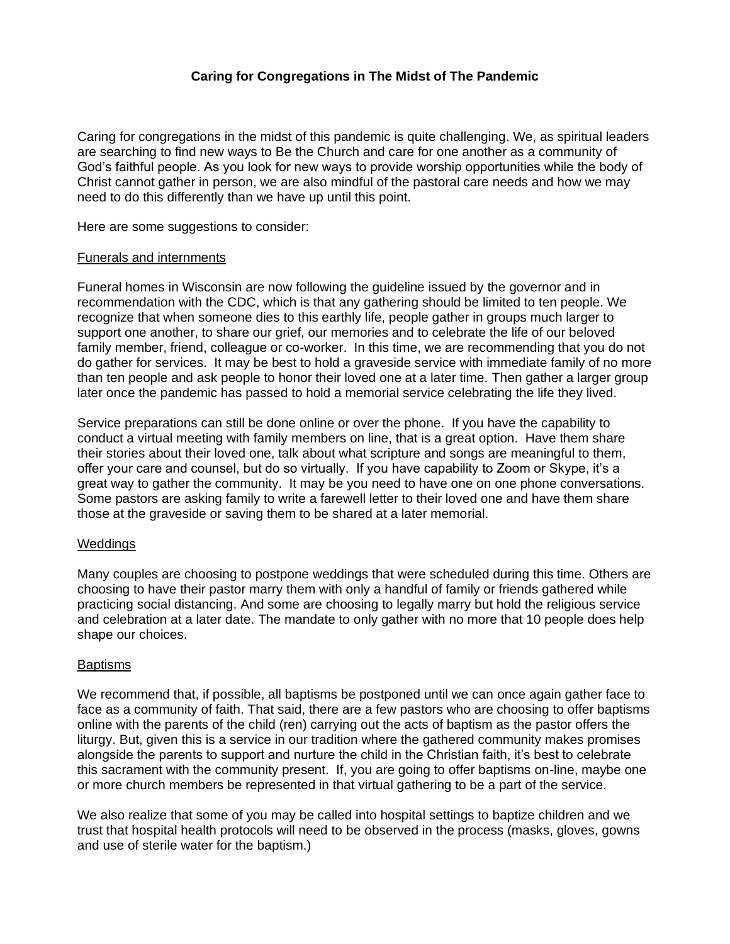# **Caring for Congregations in The Midst of The Pandemic**

Caring for congregations in the midst of this pandemic is quite challenging. We, as spiritual leaders are searching to find new ways to Be the Church and care for one another as a community of God's faithful people. As you look for new ways to provide worship opportunities while the body of Christ cannot gather in person, we are also mindful of the pastoral care needs and how we may need to do this differently than we have up until this point.

Here are some suggestions to consider:

#### Funerals and internments

Funeral homes in Wisconsin are now following the guideline issued by the governor and in recommendation with the CDC, which is that any gathering should be limited to ten people. We recognize that when someone dies to this earthly life, people gather in groups much larger to support one another, to share our grief, our memories and to celebrate the life of our beloved family member, friend, colleague or co-worker. In this time, we are recommending that you do not do gather for services. It may be best to hold a graveside service with immediate family of no more than ten people and ask people to honor their loved one at a later time. Then gather a larger group later once the pandemic has passed to hold a memorial service celebrating the life they lived.

Service preparations can still be done online or over the phone. If you have the capability to conduct a virtual meeting with family members on line, that is a great option. Have them share their stories about their loved one, talk about what scripture and songs are meaningful to them, offer your care and counsel, but do so virtually. If you have capability to Zoom or Skype, it's a great way to gather the community. It may be you need to have one on one phone conversations. Some pastors are asking family to write a farewell letter to their loved one and have them share those at the graveside or saving them to be shared at a later memorial.

## **Weddings**

Many couples are choosing to postpone weddings that were scheduled during this time. Others are choosing to have their pastor marry them with only a handful of family or friends gathered while practicing social distancing. And some are choosing to legally marry but hold the religious service and celebration at a later date. The mandate to only gather with no more that 10 people does help shape our choices.

## **Baptisms**

We recommend that, if possible, all baptisms be postponed until we can once again gather face to face as a community of faith. That said, there are a few pastors who are choosing to offer baptisms online with the parents of the child (ren) carrying out the acts of baptism as the pastor offers the liturgy. But, given this is a service in our tradition where the gathered community makes promises alongside the parents to support and nurture the child in the Christian faith, it's best to celebrate this sacrament with the community present. If, you are going to offer baptisms on-line, maybe one or more church members be represented in that virtual gathering to be a part of the service.

We also realize that some of you may be called into hospital settings to baptize children and we trust that hospital health protocols will need to be observed in the process (masks, gloves, gowns and use of sterile water for the baptism.)